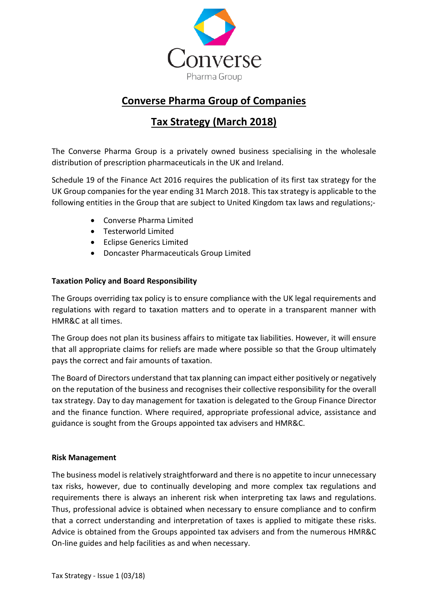

# **Converse Pharma Group of Companies**

# **Tax Strategy (March 2018)**

The Converse Pharma Group is a privately owned business specialising in the wholesale distribution of prescription pharmaceuticals in the UK and Ireland.

Schedule 19 of the Finance Act 2016 requires the publication of its first tax strategy for the UK Group companies for the year ending 31 March 2018. This tax strategy is applicable to the following entities in the Group that are subject to United Kingdom tax laws and regulations;-

- Converse Pharma Limited
- Testerworld Limited
- Eclipse Generics Limited
- Doncaster Pharmaceuticals Group Limited

## **Taxation Policy and Board Responsibility**

The Groups overriding tax policy is to ensure compliance with the UK legal requirements and regulations with regard to taxation matters and to operate in a transparent manner with HMR&C at all times.

The Group does not plan its business affairs to mitigate tax liabilities. However, it will ensure that all appropriate claims for reliefs are made where possible so that the Group ultimately pays the correct and fair amounts of taxation.

The Board of Directors understand that tax planning can impact either positively or negatively on the reputation of the business and recognises their collective responsibility for the overall tax strategy. Day to day management for taxation is delegated to the Group Finance Director and the finance function. Where required, appropriate professional advice, assistance and guidance is sought from the Groups appointed tax advisers and HMR&C.

#### **Risk Management**

The business model is relatively straightforward and there is no appetite to incur unnecessary tax risks, however, due to continually developing and more complex tax regulations and requirements there is always an inherent risk when interpreting tax laws and regulations. Thus, professional advice is obtained when necessary to ensure compliance and to confirm that a correct understanding and interpretation of taxes is applied to mitigate these risks. Advice is obtained from the Groups appointed tax advisers and from the numerous HMR&C On-line guides and help facilities as and when necessary.